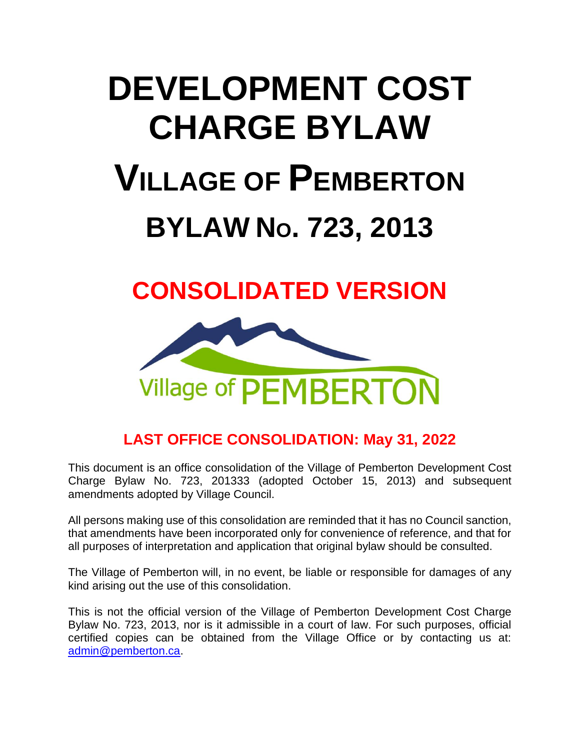# **DEVELOPMENT COST CHARGE BYLAW VILLAGE OF PEMBERTON BYLAW NO. 723, 2013**

## **CONSOLIDATED VERSION**



### **LAST OFFICE CONSOLIDATION: May 31, 2022**

This document is an office consolidation of the Village of Pemberton Development Cost Charge Bylaw No. 723, 201333 (adopted October 15, 2013) and subsequent amendments adopted by Village Council.

All persons making use of this consolidation are reminded that it has no Council sanction, that amendments have been incorporated only for convenience of reference, and that for all purposes of interpretation and application that original bylaw should be consulted.

The Village of Pemberton will, in no event, be liable or responsible for damages of any kind arising out the use of this consolidation.

This is not the official version of the Village of Pemberton Development Cost Charge Bylaw No. 723, 2013, nor is it admissible in a court of law. For such purposes, official certified copies can be obtained from the Village Office or by contacting us at: [admin@pemberton.ca.](mailto:admin@pemberton.ca)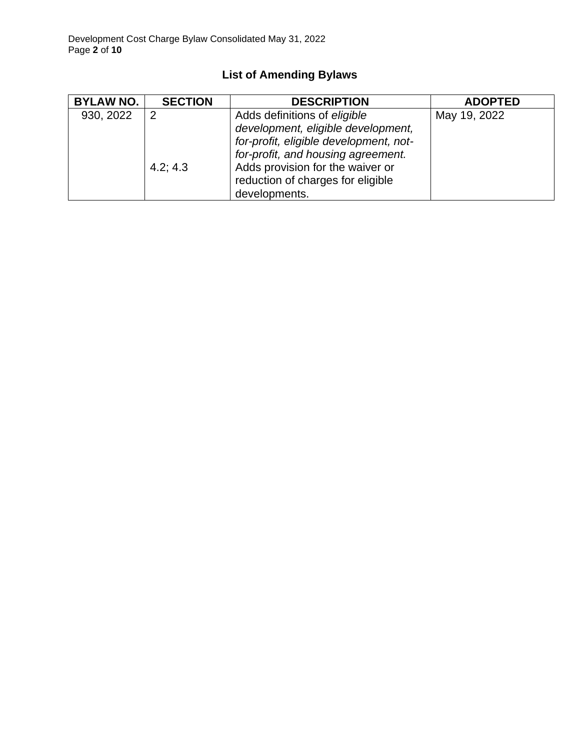| <b>BYLAW NO.</b> | <b>SECTION</b> | <b>DESCRIPTION</b>                                                                                                                                                                                                                           | <b>ADOPTED</b> |
|------------------|----------------|----------------------------------------------------------------------------------------------------------------------------------------------------------------------------------------------------------------------------------------------|----------------|
| 930, 2022        | っ<br>4.2; 4.3  | Adds definitions of eligible<br>development, eligible development,<br>for-profit, eligible development, not-<br>for-profit, and housing agreement.<br>Adds provision for the waiver or<br>reduction of charges for eligible<br>developments. | May 19, 2022   |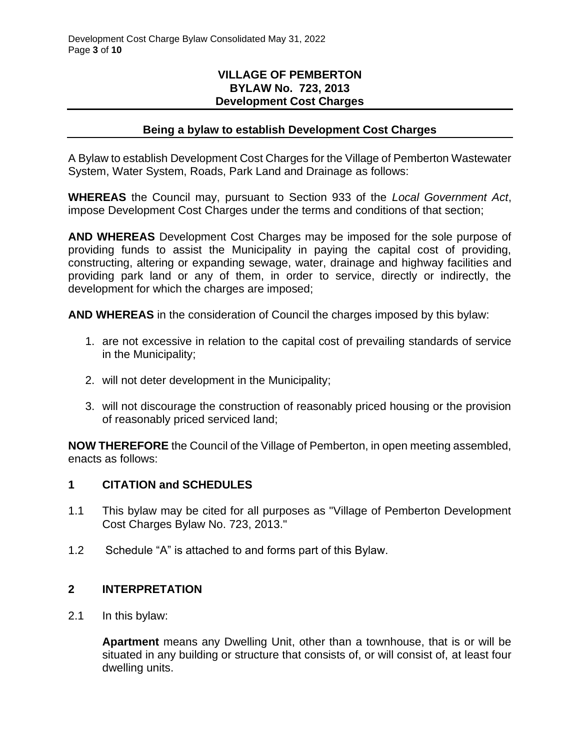#### **VILLAGE OF PEMBERTON BYLAW No. 723, 2013 Development Cost Charges**

#### **Being a bylaw to establish Development Cost Charges**

A Bylaw to establish Development Cost Charges for the Village of Pemberton Wastewater System, Water System, Roads, Park Land and Drainage as follows:

**WHEREAS** the Council may, pursuant to Section 933 of the *Local Government Act*, impose Development Cost Charges under the terms and conditions of that section;

**AND WHEREAS** Development Cost Charges may be imposed for the sole purpose of providing funds to assist the Municipality in paying the capital cost of providing, constructing, altering or expanding sewage, water, drainage and highway facilities and providing park land or any of them, in order to service, directly or indirectly, the development for which the charges are imposed;

**AND WHEREAS** in the consideration of Council the charges imposed by this bylaw:

- 1. are not excessive in relation to the capital cost of prevailing standards of service in the Municipality;
- 2. will not deter development in the Municipality;
- 3. will not discourage the construction of reasonably priced housing or the provision of reasonably priced serviced land;

**NOW THEREFORE** the Council of the Village of Pemberton, in open meeting assembled, enacts as follows:

#### **1 CITATION and SCHEDULES**

- 1.1 This bylaw may be cited for all purposes as "Village of Pemberton Development Cost Charges Bylaw No. 723, 2013."
- 1.2 Schedule "A" is attached to and forms part of this Bylaw.

#### **2 INTERPRETATION**

2.1 In this bylaw:

**Apartment** means any Dwelling Unit, other than a townhouse, that is or will be situated in any building or structure that consists of, or will consist of, at least four dwelling units.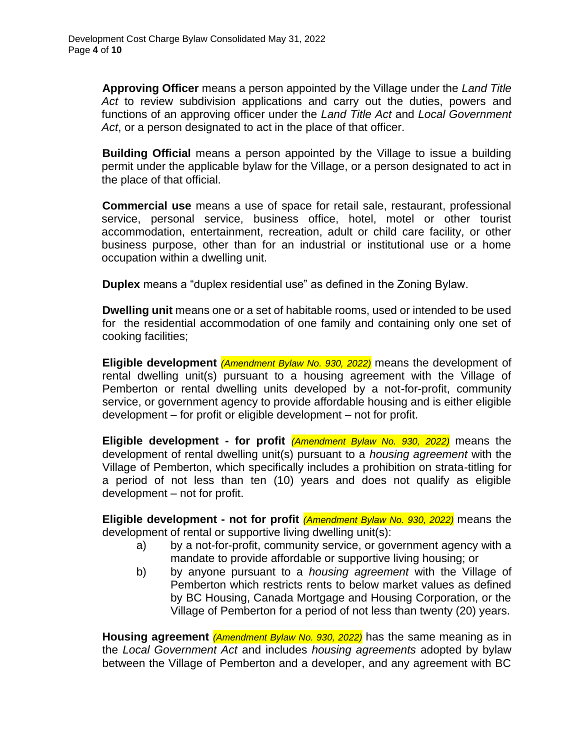**Approving Officer** means a person appointed by the Village under the *Land Title Act* to review subdivision applications and carry out the duties, powers and functions of an approving officer under the *Land Title Act* and *Local Government Act*, or a person designated to act in the place of that officer.

**Building Official** means a person appointed by the Village to issue a building permit under the applicable bylaw for the Village, or a person designated to act in the place of that official.

**Commercial use** means a use of space for retail sale, restaurant, professional service, personal service, business office, hotel, motel or other tourist accommodation, entertainment, recreation, adult or child care facility, or other business purpose, other than for an industrial or institutional use or a home occupation within a dwelling unit.

**Duplex** means a "duplex residential use" as defined in the Zoning Bylaw.

**Dwelling unit** means one or a set of habitable rooms, used or intended to be used for the residential accommodation of one family and containing only one set of cooking facilities;

**Eligible development** *(Amendment Bylaw No. 930, 2022)* means the development of rental dwelling unit(s) pursuant to a housing agreement with the Village of Pemberton or rental dwelling units developed by a not-for-profit, community service, or government agency to provide affordable housing and is either eligible development – for profit or eligible development – not for profit.

**Eligible development - for profit** *(Amendment Bylaw No. 930, 2022)* means the development of rental dwelling unit(s) pursuant to a *housing agreement* with the Village of Pemberton, which specifically includes a prohibition on strata-titling for a period of not less than ten (10) years and does not qualify as eligible development – not for profit.

**Eligible development - not for profit** *(Amendment Bylaw No. 930, 2022)* means the development of rental or supportive living dwelling unit(s):

- a) by a not-for-profit, community service, or government agency with a mandate to provide affordable or supportive living housing; or
- b) by anyone pursuant to a *housing agreement* with the Village of Pemberton which restricts rents to below market values as defined by BC Housing, Canada Mortgage and Housing Corporation, or the Village of Pemberton for a period of not less than twenty (20) years.

**Housing agreement** *(Amendment Bylaw No. 930, 2022)* has the same meaning as in the *Local Government Act* and includes *housing agreements* adopted by bylaw between the Village of Pemberton and a developer, and any agreement with BC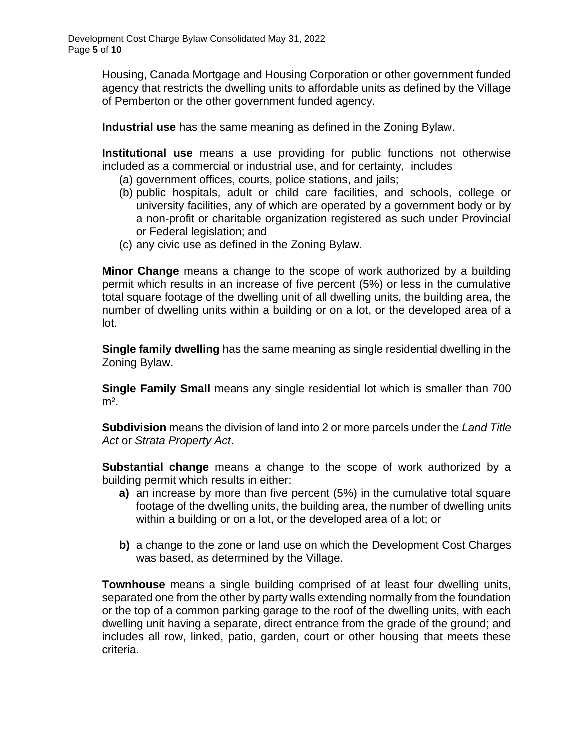Housing, Canada Mortgage and Housing Corporation or other government funded agency that restricts the dwelling units to affordable units as defined by the Village of Pemberton or the other government funded agency.

**Industrial use** has the same meaning as defined in the Zoning Bylaw.

**Institutional use** means a use providing for public functions not otherwise included as a commercial or industrial use, and for certainty, includes

- (a) government offices, courts, police stations, and jails;
- (b) public hospitals, adult or child care facilities, and schools, college or university facilities, any of which are operated by a government body or by a non-profit or charitable organization registered as such under Provincial or Federal legislation; and
- (c) any civic use as defined in the Zoning Bylaw.

**Minor Change** means a change to the scope of work authorized by a building permit which results in an increase of five percent (5%) or less in the cumulative total square footage of the dwelling unit of all dwelling units, the building area, the number of dwelling units within a building or on a lot, or the developed area of a lot.

**Single family dwelling** has the same meaning as single residential dwelling in the Zoning Bylaw.

**Single Family Small** means any single residential lot which is smaller than 700  $m<sup>2</sup>$ .

**Subdivision** means the division of land into 2 or more parcels under the *Land Title Act* or *Strata Property Act*.

**Substantial change** means a change to the scope of work authorized by a building permit which results in either:

- **a)** an increase by more than five percent (5%) in the cumulative total square footage of the dwelling units, the building area, the number of dwelling units within a building or on a lot, or the developed area of a lot; or
- **b)** a change to the zone or land use on which the Development Cost Charges was based, as determined by the Village.

**Townhouse** means a single building comprised of at least four dwelling units, separated one from the other by party walls extending normally from the foundation or the top of a common parking garage to the roof of the dwelling units, with each dwelling unit having a separate, direct entrance from the grade of the ground; and includes all row, linked, patio, garden, court or other housing that meets these criteria.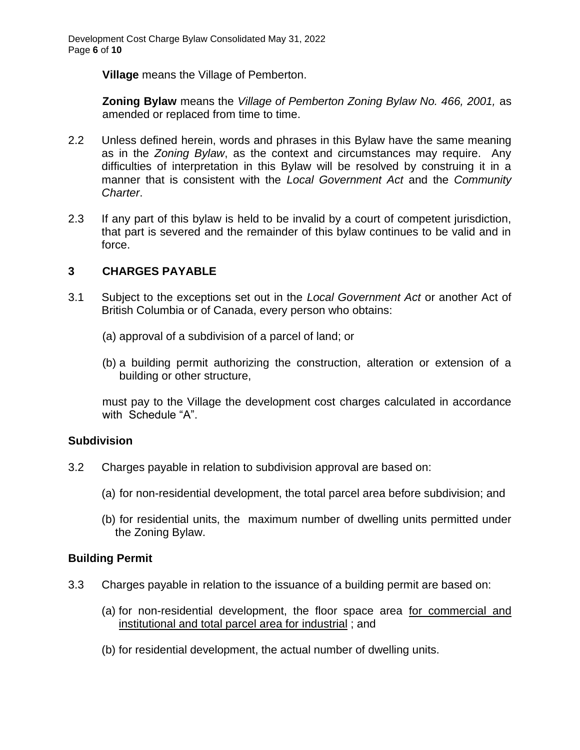**Village** means the Village of Pemberton.

**Zoning Bylaw** means the *Village of Pemberton Zoning Bylaw No. 466, 2001,* as amended or replaced from time to time.

- 2.2 Unless defined herein, words and phrases in this Bylaw have the same meaning as in the *Zoning Bylaw*, as the context and circumstances may require. Any difficulties of interpretation in this Bylaw will be resolved by construing it in a manner that is consistent with the *Local Government Act* and the *Community Charter*.
- 2.3 If any part of this bylaw is held to be invalid by a court of competent jurisdiction, that part is severed and the remainder of this bylaw continues to be valid and in force.

#### **3 CHARGES PAYABLE**

- 3.1 Subject to the exceptions set out in the *Local Government Act* or another Act of British Columbia or of Canada, every person who obtains:
	- (a) approval of a subdivision of a parcel of land; or
	- (b) a building permit authorizing the construction, alteration or extension of a building or other structure,

must pay to the Village the development cost charges calculated in accordance with Schedule "A".

#### **Subdivision**

- 3.2 Charges payable in relation to subdivision approval are based on:
	- (a) for non-residential development, the total parcel area before subdivision; and
	- (b) for residential units, the maximum number of dwelling units permitted under the Zoning Bylaw.

#### **Building Permit**

- 3.3 Charges payable in relation to the issuance of a building permit are based on:
	- (a) for non-residential development, the floor space area for commercial and institutional and total parcel area for industrial ; and
	- (b) for residential development, the actual number of dwelling units.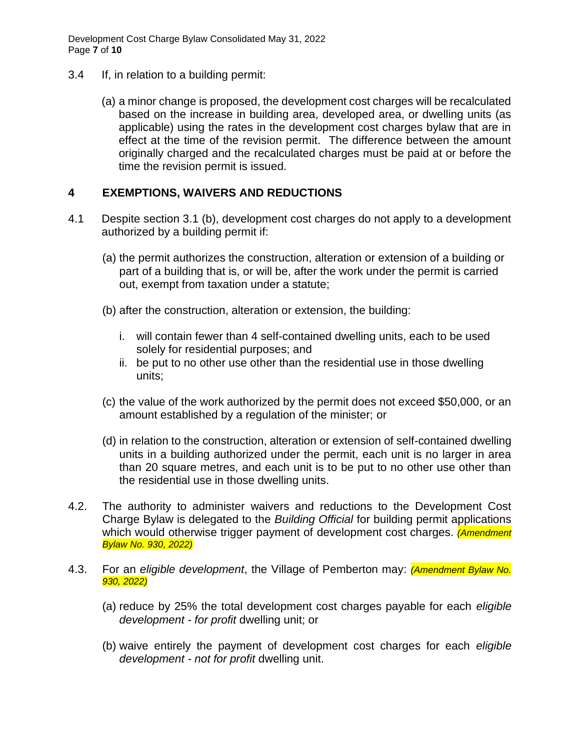Development Cost Charge Bylaw Consolidated May 31, 2022 Page **7** of **10**

- 3.4 If, in relation to a building permit:
	- (a) a minor change is proposed, the development cost charges will be recalculated based on the increase in building area, developed area, or dwelling units (as applicable) using the rates in the development cost charges bylaw that are in effect at the time of the revision permit. The difference between the amount originally charged and the recalculated charges must be paid at or before the time the revision permit is issued.

#### **4 EXEMPTIONS, WAIVERS AND REDUCTIONS**

- 4.1 Despite section 3.1 (b), development cost charges do not apply to a development authorized by a building permit if:
	- (a) the permit authorizes the construction, alteration or extension of a building or part of a building that is, or will be, after the work under the permit is carried out, exempt from taxation under a statute;
	- (b) after the construction, alteration or extension, the building:
		- i. will contain fewer than 4 self-contained dwelling units, each to be used solely for residential purposes; and
		- ii. be put to no other use other than the residential use in those dwelling units;
	- (c) the value of the work authorized by the permit does not exceed \$50,000, or an amount established by a regulation of the minister; or
	- (d) in relation to the construction, alteration or extension of self-contained dwelling units in a building authorized under the permit, each unit is no larger in area than 20 square metres, and each unit is to be put to no other use other than the residential use in those dwelling units.
- 4.2. The authority to administer waivers and reductions to the Development Cost Charge Bylaw is delegated to the *Building Official* for building permit applications which would otherwise trigger payment of development cost charges. *(Amendment Bylaw No. 930, 2022)*
- 4.3. For an *eligible development*, the Village of Pemberton may: *(Amendment Bylaw No. 930, 2022)*
	- (a) reduce by 25% the total development cost charges payable for each *eligible development - for profit* dwelling unit; or
	- (b) waive entirely the payment of development cost charges for each *eligible development - not for profit* dwelling unit.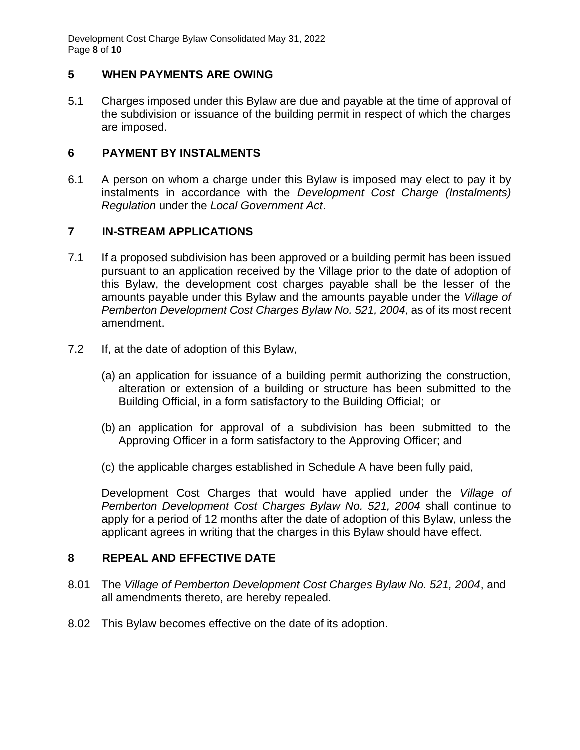Development Cost Charge Bylaw Consolidated May 31, 2022 Page **8** of **10**

#### **5 WHEN PAYMENTS ARE OWING**

5.1 Charges imposed under this Bylaw are due and payable at the time of approval of the subdivision or issuance of the building permit in respect of which the charges are imposed.

#### **6 PAYMENT BY INSTALMENTS**

6.1 A person on whom a charge under this Bylaw is imposed may elect to pay it by instalments in accordance with the *Development Cost Charge (Instalments) Regulation* under the *Local Government Act*.

#### **7 IN-STREAM APPLICATIONS**

- 7.1 If a proposed subdivision has been approved or a building permit has been issued pursuant to an application received by the Village prior to the date of adoption of this Bylaw, the development cost charges payable shall be the lesser of the amounts payable under this Bylaw and the amounts payable under the *Village of Pemberton Development Cost Charges Bylaw No. 521, 2004*, as of its most recent amendment.
- 7.2 If, at the date of adoption of this Bylaw,
	- (a) an application for issuance of a building permit authorizing the construction, alteration or extension of a building or structure has been submitted to the Building Official, in a form satisfactory to the Building Official; or
	- (b) an application for approval of a subdivision has been submitted to the Approving Officer in a form satisfactory to the Approving Officer; and
	- (c) the applicable charges established in Schedule A have been fully paid,

Development Cost Charges that would have applied under the *Village of Pemberton Development Cost Charges Bylaw No. 521, 2004* shall continue to apply for a period of 12 months after the date of adoption of this Bylaw, unless the applicant agrees in writing that the charges in this Bylaw should have effect.

#### **8 REPEAL AND EFFECTIVE DATE**

- 8.01 The *Village of Pemberton Development Cost Charges Bylaw No. 521, 2004*, and all amendments thereto, are hereby repealed.
- 8.02 This Bylaw becomes effective on the date of its adoption.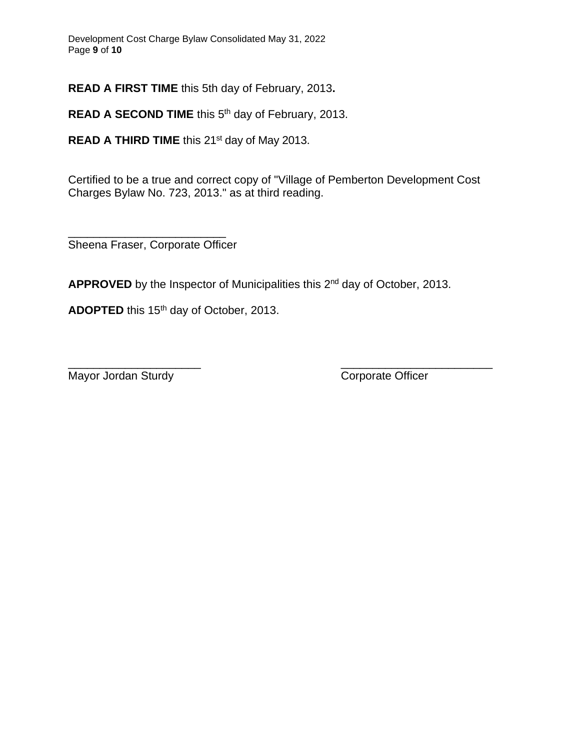**READ A FIRST TIME** this 5th day of February, 2013**.**

READ A SECOND TIME this 5<sup>th</sup> day of February, 2013.

**READ A THIRD TIME** this 21<sup>st</sup> day of May 2013.

Certified to be a true and correct copy of "Village of Pemberton Development Cost Charges Bylaw No. 723, 2013." as at third reading.

\_\_\_\_\_\_\_\_\_\_\_\_\_\_\_\_\_\_\_\_\_\_\_\_\_ Sheena Fraser, Corporate Officer

APPROVED by the Inspector of Municipalities this 2<sup>nd</sup> day of October, 2013.

ADOPTED this 15<sup>th</sup> day of October, 2013.

\_\_\_\_\_\_\_\_\_\_\_\_\_\_\_\_\_\_\_\_\_ \_\_\_\_\_\_\_\_\_\_\_\_\_\_\_\_\_\_\_\_\_\_\_\_ Mayor Jordan Sturdy **Communist Communist Communist Communist Communist Communist Communist Communist Communist Communist Communist Communist Communist Communist Communist Communist Communist Communist Communist Communist C**